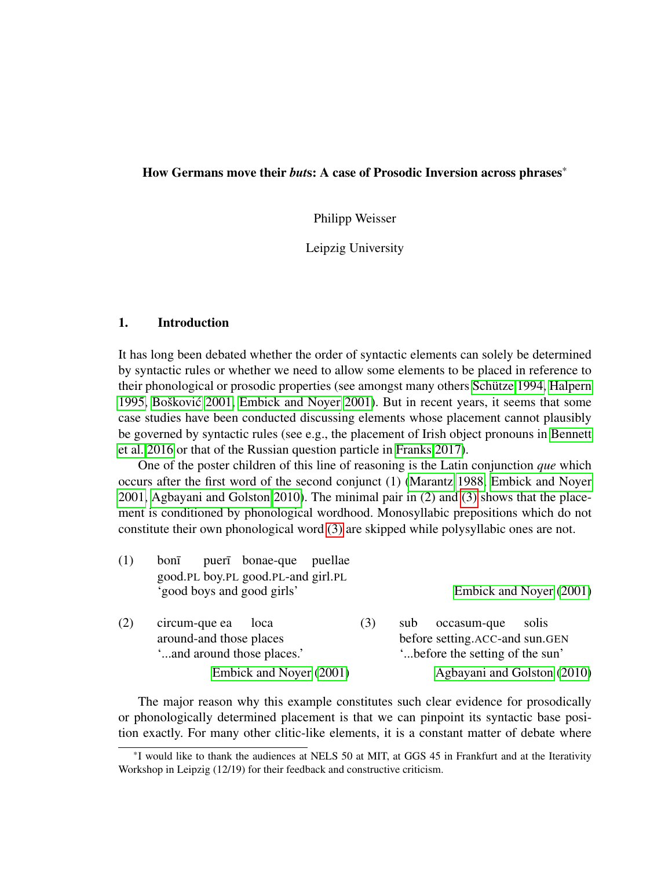### How Germans move their *but*s: A case of Prosodic Inversion across phrases\*

Philipp Weisser

Leipzig University

## 1. Introduction

It has long been debated whether the order of syntactic elements can solely be determined by syntactic rules or whether we need to allow some elements to be placed in reference to their phonological or prosodic properties (see amongst many others [Schütze 1994,](#page-13-0) [Halpern](#page-13-1) [1995,](#page-13-1) [Boškovic 2001,](#page-12-0) [Embick and Noyer 2001\)](#page-13-2). But in recent years, it seems that some ´ case studies have been conducted discussing elements whose placement cannot plausibly be governed by syntactic rules (see e.g., the placement of Irish object pronouns in [Bennett](#page-12-1) [et al. 2016](#page-12-1) or that of the Russian question particle in [Franks 2017\)](#page-13-3).

One of the poster children of this line of reasoning is the Latin conjunction *que* which occurs after the first word of the second conjunct (1) [\(Marantz 1988,](#page-13-4) [Embick and Noyer](#page-13-2) [2001,](#page-13-2) [Agbayani and Golston 2010\)](#page-12-2). The minimal pair in (2) and [\(3\)](#page-0-0) shows that the placement is conditioned by phonological wordhood. Monosyllabic prepositions which do not constitute their own phonological word [\(3\)](#page-0-0) are skipped while polysyllabic ones are not.

<span id="page-0-0"></span>

| (1) | pueri bonae-que puellae<br>bon <sub>1</sub><br>good.PL boy.PL good.PL-and girl.PL<br>'good boys and good girls' |     | Embick and Noyer (2001)                                                                           |
|-----|-----------------------------------------------------------------------------------------------------------------|-----|---------------------------------------------------------------------------------------------------|
| (2) | circum-que ea<br>loca<br>around-and those places<br>" and around those places."                                 | (3) | solis<br>sub<br>occasum-que<br>before setting.ACC-and sun.GEN<br>" before the setting of the sun" |
|     | Embick and Noyer (2001)                                                                                         |     | Agbayani and Golston (2010)                                                                       |

The major reason why this example constitutes such clear evidence for prosodically or phonologically determined placement is that we can pinpoint its syntactic base position exactly. For many other clitic-like elements, it is a constant matter of debate where

<sup>\*</sup>I would like to thank the audiences at NELS 50 at MIT, at GGS 45 in Frankfurt and at the Iterativity Workshop in Leipzig (12/19) for their feedback and constructive criticism.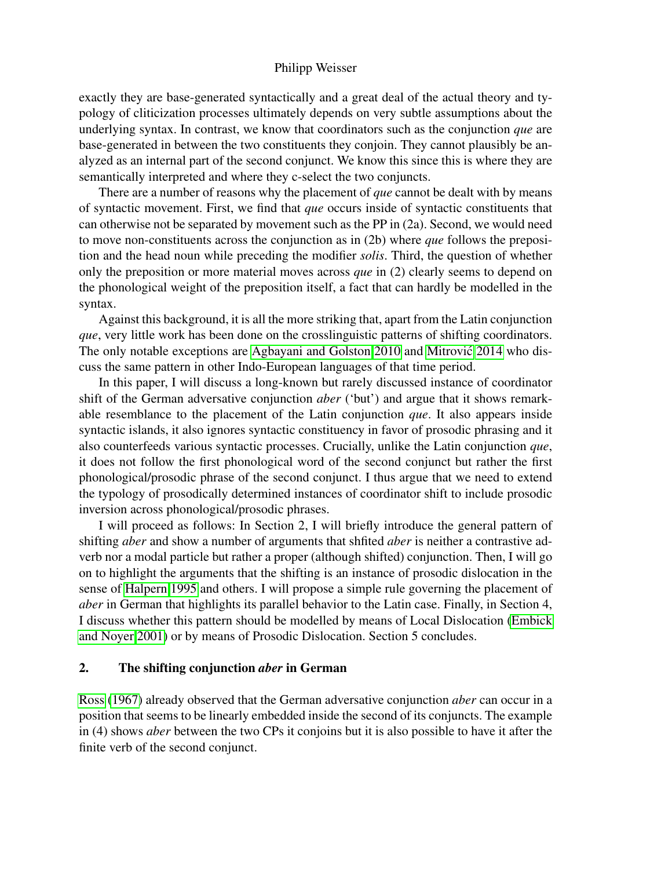exactly they are base-generated syntactically and a great deal of the actual theory and typology of cliticization processes ultimately depends on very subtle assumptions about the underlying syntax. In contrast, we know that coordinators such as the conjunction *que* are base-generated in between the two constituents they conjoin. They cannot plausibly be analyzed as an internal part of the second conjunct. We know this since this is where they are semantically interpreted and where they c-select the two conjuncts.

There are a number of reasons why the placement of *que* cannot be dealt with by means of syntactic movement. First, we find that *que* occurs inside of syntactic constituents that can otherwise not be separated by movement such as the PP in (2a). Second, we would need to move non-constituents across the conjunction as in (2b) where *que* follows the preposition and the head noun while preceding the modifier *solis*. Third, the question of whether only the preposition or more material moves across *que* in (2) clearly seems to depend on the phonological weight of the preposition itself, a fact that can hardly be modelled in the syntax.

Against this background, it is all the more striking that, apart from the Latin conjunction *que*, very little work has been done on the crosslinguistic patterns of shifting coordinators. The only notable exceptions are [Agbayani and Golston 2010](#page-12-2) and [Mitrovic 2014](#page-13-5) who dis- ´ cuss the same pattern in other Indo-European languages of that time period.

In this paper, I will discuss a long-known but rarely discussed instance of coordinator shift of the German adversative conjunction *aber* ('but') and argue that it shows remarkable resemblance to the placement of the Latin conjunction *que*. It also appears inside syntactic islands, it also ignores syntactic constituency in favor of prosodic phrasing and it also counterfeeds various syntactic processes. Crucially, unlike the Latin conjunction *que*, it does not follow the first phonological word of the second conjunct but rather the first phonological/prosodic phrase of the second conjunct. I thus argue that we need to extend the typology of prosodically determined instances of coordinator shift to include prosodic inversion across phonological/prosodic phrases.

I will proceed as follows: In Section 2, I will briefly introduce the general pattern of shifting *aber* and show a number of arguments that shfited *aber* is neither a contrastive adverb nor a modal particle but rather a proper (although shifted) conjunction. Then, I will go on to highlight the arguments that the shifting is an instance of prosodic dislocation in the sense of [Halpern 1995](#page-13-1) and others. I will propose a simple rule governing the placement of *aber* in German that highlights its parallel behavior to the Latin case. Finally, in Section 4, I discuss whether this pattern should be modelled by means of Local Dislocation [\(Embick](#page-13-2) [and Noyer 2001\)](#page-13-2) or by means of Prosodic Dislocation. Section 5 concludes.

#### 2. The shifting conjunction *aber* in German

<span id="page-1-0"></span>[Ross](#page-13-6) [\(1967\)](#page-13-6) already observed that the German adversative conjunction *aber* can occur in a position that seems to be linearly embedded inside the second of its conjuncts. The example in (4) shows *aber* between the two CPs it conjoins but it is also possible to have it after the finite verb of the second conjunct.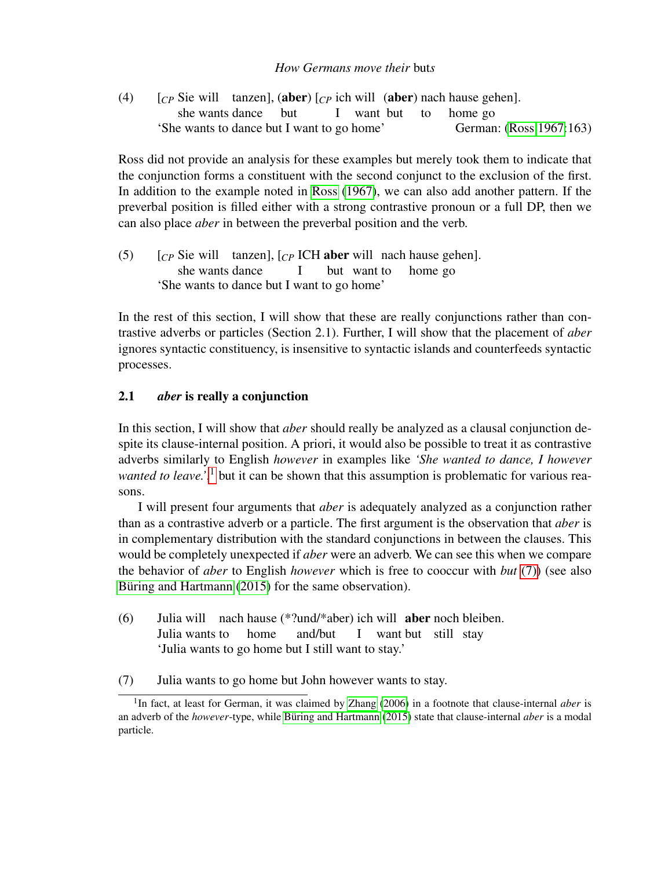(4)  $[CP \text{ Sie will } \text{tanzen}]$ ,  $(\text{aber}) [CP \text{ich will } (\text{aber}) \text{nach have gehen}]$ . she wants dance but I want but to home go 'She wants to dance but I want to go home' German: [\(Ross 1967:](#page-13-6)163)

Ross did not provide an analysis for these examples but merely took them to indicate that the conjunction forms a constituent with the second conjunct to the exclusion of the first. In addition to the example noted in [Ross](#page-13-6) [\(1967\)](#page-13-6), we can also add another pattern. If the preverbal position is filled either with a strong contrastive pronoun or a full DP, then we can also place *aber* in between the preverbal position and the verb.

<span id="page-2-2"></span>(5)  $\left[$   $\begin{bmatrix} C_P \text{Sie will} \end{bmatrix}, \begin{bmatrix} C_P \text{ICH} \text{aber will} \end{bmatrix} \right]$  nach hause gehen]. she wants dance I but want to home go 'She wants to dance but I want to go home'

In the rest of this section, I will show that these are really conjunctions rather than contrastive adverbs or particles (Section 2.1). Further, I will show that the placement of *aber* ignores syntactic constituency, is insensitive to syntactic islands and counterfeeds syntactic processes.

## 2.1 *aber* is really a conjunction

In this section, I will show that *aber* should really be analyzed as a clausal conjunction despite its clause-internal position. A priori, it would also be possible to treat it as contrastive adverbs similarly to English *however* in examples like *'She wanted to dance, I however* wanted to leave.<sup>'</sup>,<sup>[1](#page-2-0)</sup> but it can be shown that this assumption is problematic for various reasons.

I will present four arguments that *aber* is adequately analyzed as a conjunction rather than as a contrastive adverb or a particle. The first argument is the observation that *aber* is in complementary distribution with the standard conjunctions in between the clauses. This would be completely unexpected if *aber* were an adverb. We can see this when we compare the behavior of *aber* to English *however* which is free to cooccur with *but* [\(7\)\)](#page-2-1) (see also [Büring and Hartmann](#page-12-3) [\(2015\)](#page-12-3) for the same observation).

- (6) Julia will nach hause (\*?und/\*aber) ich will **aber** noch bleiben. Julia wants to home and/but I want but still stay 'Julia wants to go home but I still want to stay.'
- <span id="page-2-1"></span>(7) Julia wants to go home but John however wants to stay.

<span id="page-2-0"></span><sup>&</sup>lt;sup>1</sup>In fact, at least for German, it was claimed by [Zhang](#page-13-7) [\(2006\)](#page-13-7) in a footnote that clause-internal *aber* is an adverb of the *however*-type, while [Büring and Hartmann](#page-12-3) [\(2015\)](#page-12-3) state that clause-internal *aber* is a modal particle.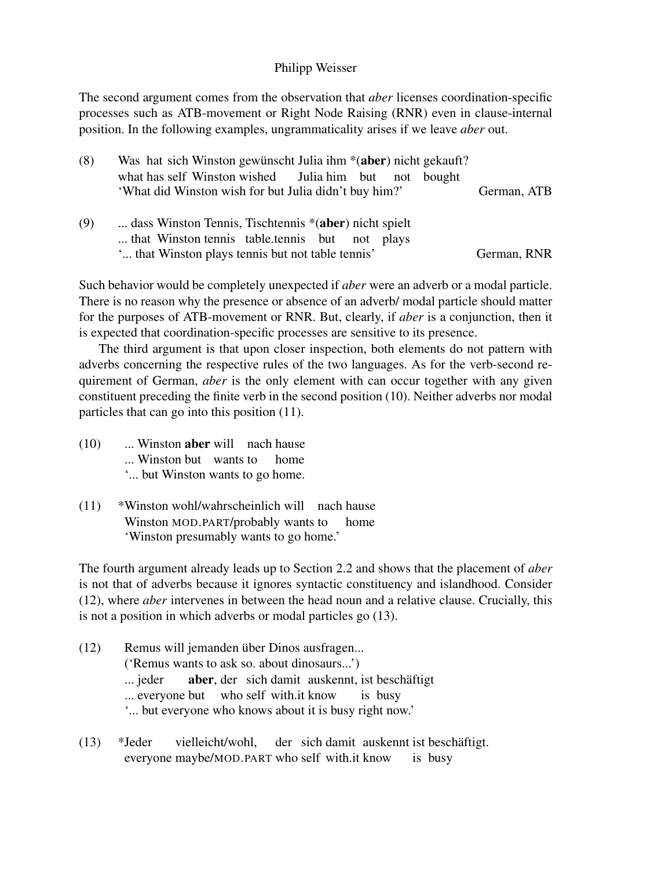The second argument comes from the observation that *aber* licenses coordination-specific processes such as ATB-movement or Right Node Raising (RNR) even in clause-internal position. In the following examples, ungrammaticality arises if we leave *aber* out.

| (8) | Was hat sich Winston gewünscht Julia ihm $*(aber)$ nicht gekauft? |             |
|-----|-------------------------------------------------------------------|-------------|
|     | what has self Winston wished Julia him but not bought             |             |
|     | 'What did Winston wish for but Julia didn't buy him?'             | German, ATB |
| (9) | dass Winston Tennis, Tischtennis *(aber) nicht spielt             |             |
|     | that Winston tennis table.tennis but not plays                    |             |
|     | ' that Winston plays tennis but not table tennis'                 | German, RNR |

Such behavior would be completely unexpected if *aber* were an adverb or a modal particle. There is no reason why the presence or absence of an adverb/ modal particle should matter for the purposes of ATB-movement or RNR. But, clearly, if *aber* is a conjunction, then it is expected that coordination-specific processes are sensitive to its presence.

The third argument is that upon closer inspection, both elements do not pattern with adverbs concerning the respective rules of the two languages. As for the verb-second requirement of German, *aber* is the only element with can occur together with any given constituent preceding the finite verb in the second position (10). Neither adverbs nor modal particles that can go into this position (11).

- $(10)$ ... Winston but wants to Winston **aber** will nach hause home '... but Winston wants to go home.
- (11) \*Winston wohl/wahrscheinlich will nach hause Winston MOD.PART/probably wants to home 'Winston presumably wants to go home.'

The fourth argument already leads up to Section 2.2 and shows that the placement of *aber* is not that of adverbs because it ignores syntactic constituency and islandhood. Consider (12), where *aber* intervenes in between the head noun and a relative clause. Crucially, this is not a position in which adverbs or modal particles go (13).

- <span id="page-3-0"></span>(12) Remus will jemanden über Dinos ausfragen... ('Remus wants to ask so. about dinosaurs...') ... jeder ... everyone but who self with.it know aber, der sich damit auskennt, ist beschäftigt is busy '... but everyone who knows about it is busy right now.'
- (13) \*Jeder everyone maybe/MOD.PART who self with.it know vielleicht/wohl, der sich damit auskennt ist beschäftigt. is busy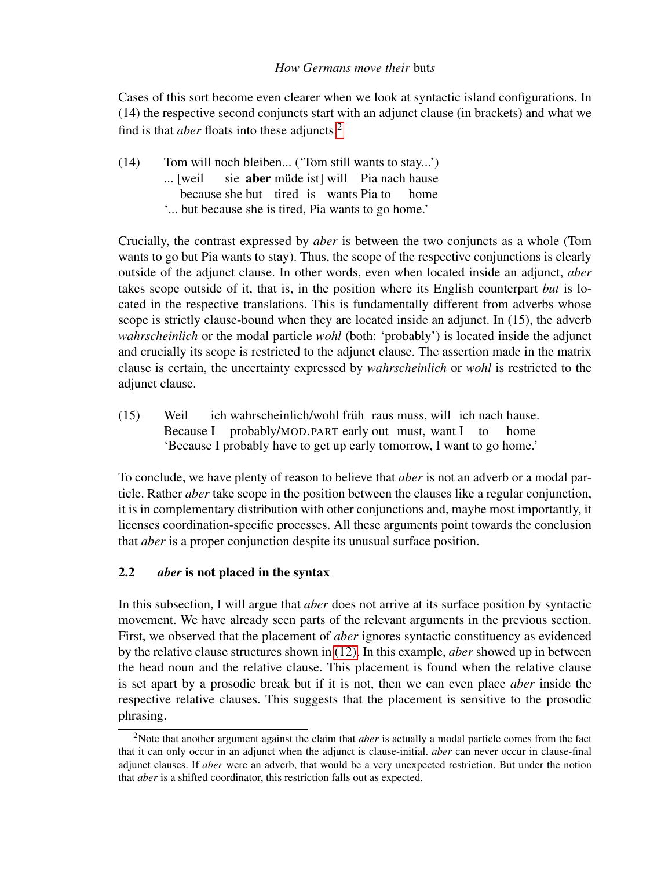Cases of this sort become even clearer when we look at syntactic island configurations. In (14) the respective second conjuncts start with an adjunct clause (in brackets) and what we find is that *aber* floats into these adjuncts.[2](#page-4-0)

<span id="page-4-2"></span>(14) Tom will noch bleiben... ('Tom still wants to stay...') ... [weil because she but tired is wants Pia to sie **aber** müde ist] will Pia nach hause home '... but because she is tired, Pia wants to go home.'

Crucially, the contrast expressed by *aber* is between the two conjuncts as a whole (Tom wants to go but Pia wants to stay). Thus, the scope of the respective conjunctions is clearly outside of the adjunct clause. In other words, even when located inside an adjunct, *aber* takes scope outside of it, that is, in the position where its English counterpart *but* is located in the respective translations. This is fundamentally different from adverbs whose scope is strictly clause-bound when they are located inside an adjunct. In (15), the adverb *wahrscheinlich* or the modal particle *wohl* (both: 'probably') is located inside the adjunct and crucially its scope is restricted to the adjunct clause. The assertion made in the matrix clause is certain, the uncertainty expressed by *wahrscheinlich* or *wohl* is restricted to the adjunct clause.

(15) Weil Because I ich wahrscheinlich/wohl früh raus muss, will ich nach hause. probably/MOD.PART early out must, want I to home 'Because I probably have to get up early tomorrow, I want to go home.'

To conclude, we have plenty of reason to believe that *aber* is not an adverb or a modal particle. Rather *aber* take scope in the position between the clauses like a regular conjunction, it is in complementary distribution with other conjunctions and, maybe most importantly, it licenses coordination-specific processes. All these arguments point towards the conclusion that *aber* is a proper conjunction despite its unusual surface position.

# 2.2 *aber* is not placed in the syntax

In this subsection, I will argue that *aber* does not arrive at its surface position by syntactic movement. We have already seen parts of the relevant arguments in the previous section. First, we observed that the placement of *aber* ignores syntactic constituency as evidenced by the relative clause structures shown in [\(12\).](#page-3-0) In this example, *aber* showed up in between the head noun and the relative clause. This placement is found when the relative clause is set apart by a prosodic break but if it is not, then we can even place *aber* inside the respective relative clauses. This suggests that the placement is sensitive to the prosodic phrasing.

<span id="page-4-1"></span><span id="page-4-0"></span><sup>2</sup>Note that another argument against the claim that *aber* is actually a modal particle comes from the fact that it can only occur in an adjunct when the adjunct is clause-initial. *aber* can never occur in clause-final adjunct clauses. If *aber* were an adverb, that would be a very unexpected restriction. But under the notion that *aber* is a shifted coordinator, this restriction falls out as expected.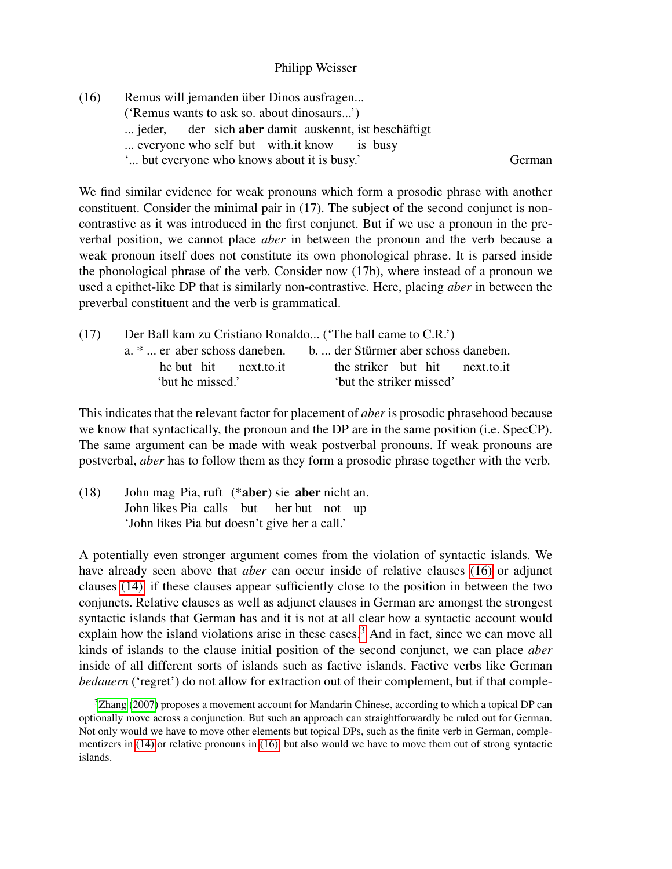(16) Remus will jemanden über Dinos ausfragen... ('Remus wants to ask so. about dinosaurs...') ... jeder, ... everyone who self but with.it know der sich aber damit auskennt, ist beschäftigt is busy '... but everyone who knows about it is busy.' German

We find similar evidence for weak pronouns which form a prosodic phrase with another constituent. Consider the minimal pair in (17). The subject of the second conjunct is noncontrastive as it was introduced in the first conjunct. But if we use a pronoun in the preverbal position, we cannot place *aber* in between the pronoun and the verb because a weak pronoun itself does not constitute its own phonological phrase. It is parsed inside the phonological phrase of the verb. Consider now (17b), where instead of a pronoun we used a epithet-like DP that is similarly non-contrastive. Here, placing *aber* in between the preverbal constituent and the verb is grammatical.

| (17) | Der Ball kam zu Cristiano Ronaldo ('The ball came to C.R.') |                                                                    |  |  |
|------|-------------------------------------------------------------|--------------------------------------------------------------------|--|--|
|      |                                                             | a. *  er aber schoss daneben. b.  der Stürmer aber schoss daneben. |  |  |
|      | he but hit next to it                                       | the striker but hit next.to.it                                     |  |  |
|      | 'but he missed.'                                            | 'but the striker missed'                                           |  |  |

This indicates that the relevant factor for placement of *aber* is prosodic phrasehood because we know that syntactically, the pronoun and the DP are in the same position (i.e. SpecCP). The same argument can be made with weak postverbal pronouns. If weak pronouns are postverbal, *aber* has to follow them as they form a prosodic phrase together with the verb.

(18) John mag Pia, ruft (\*aber) sie aber nicht an. John likes Pia calls but her but not up 'John likes Pia but doesn't give her a call.'

A potentially even stronger argument comes from the violation of syntactic islands. We have already seen above that *aber* can occur inside of relative clauses [\(16\)](#page-4-1) or adjunct clauses [\(14\),](#page-4-2) if these clauses appear sufficiently close to the position in between the two conjuncts. Relative clauses as well as adjunct clauses in German are amongst the strongest syntactic islands that German has and it is not at all clear how a syntactic account would explain how the island violations arise in these cases.<sup>[3](#page-5-0)</sup> And in fact, since we can move all kinds of islands to the clause initial position of the second conjunct, we can place *aber* inside of all different sorts of islands such as factive islands. Factive verbs like German *bedauern* ('regret') do not allow for extraction out of their complement, but if that comple-

<span id="page-5-0"></span> $3$ [Zhang](#page-13-8) [\(2007\)](#page-13-8) proposes a movement account for Mandarin Chinese, according to which a topical DP can optionally move across a conjunction. But such an approach can straightforwardly be ruled out for German. Not only would we have to move other elements but topical DPs, such as the finite verb in German, complementizers in [\(14\)](#page-4-2) or relative pronouns in [\(16\),](#page-4-1) but also would we have to move them out of strong syntactic islands.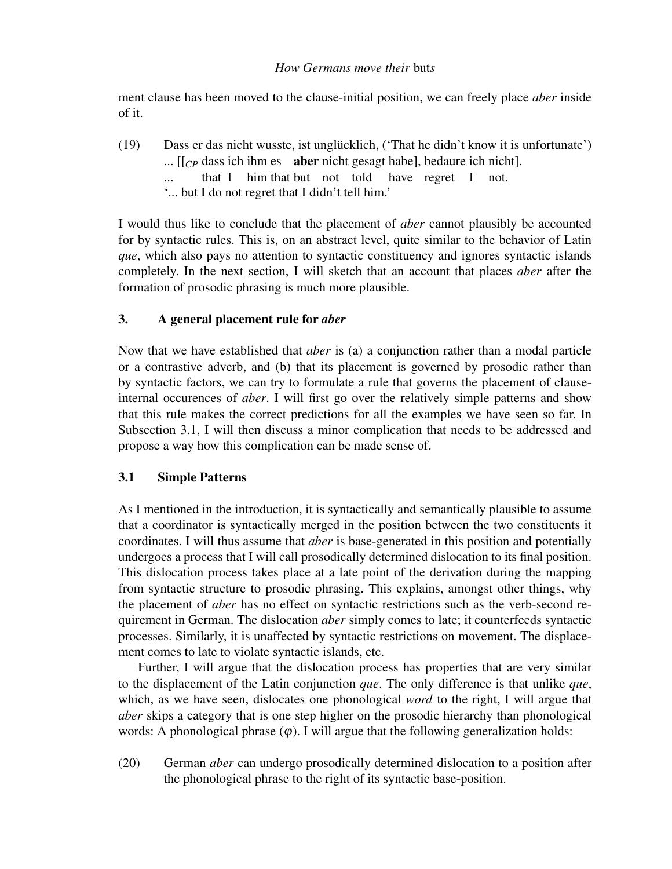ment clause has been moved to the clause-initial position, we can freely place *aber* inside of it.

<span id="page-6-0"></span>(19) Dass er das nicht wusste, ist unglücklich, ('That he didn't know it is unfortunate') ... [[<sub>*CP*</sub> dass ich ihm es **aber** nicht gesagt habe], bedaure ich nicht]. ... that I him that but not told have regret I not. '... but I do not regret that I didn't tell him.'

I would thus like to conclude that the placement of *aber* cannot plausibly be accounted for by syntactic rules. This is, on an abstract level, quite similar to the behavior of Latin *que*, which also pays no attention to syntactic constituency and ignores syntactic islands completely. In the next section, I will sketch that an account that places *aber* after the formation of prosodic phrasing is much more plausible.

# 3. A general placement rule for *aber*

Now that we have established that *aber* is (a) a conjunction rather than a modal particle or a contrastive adverb, and (b) that its placement is governed by prosodic rather than by syntactic factors, we can try to formulate a rule that governs the placement of clauseinternal occurences of *aber*. I will first go over the relatively simple patterns and show that this rule makes the correct predictions for all the examples we have seen so far. In Subsection 3.1, I will then discuss a minor complication that needs to be addressed and propose a way how this complication can be made sense of.

# 3.1 Simple Patterns

As I mentioned in the introduction, it is syntactically and semantically plausible to assume that a coordinator is syntactically merged in the position between the two constituents it coordinates. I will thus assume that *aber* is base-generated in this position and potentially undergoes a process that I will call prosodically determined dislocation to its final position. This dislocation process takes place at a late point of the derivation during the mapping from syntactic structure to prosodic phrasing. This explains, amongst other things, why the placement of *aber* has no effect on syntactic restrictions such as the verb-second requirement in German. The dislocation *aber* simply comes to late; it counterfeeds syntactic processes. Similarly, it is unaffected by syntactic restrictions on movement. The displacement comes to late to violate syntactic islands, etc.

Further, I will argue that the dislocation process has properties that are very similar to the displacement of the Latin conjunction *que*. The only difference is that unlike *que*, which, as we have seen, dislocates one phonological *word* to the right, I will argue that *aber* skips a category that is one step higher on the prosodic hierarchy than phonological words: A phonological phrase  $(\varphi)$ . I will argue that the following generalization holds:

(20) German *aber* can undergo prosodically determined dislocation to a position after the phonological phrase to the right of its syntactic base-position.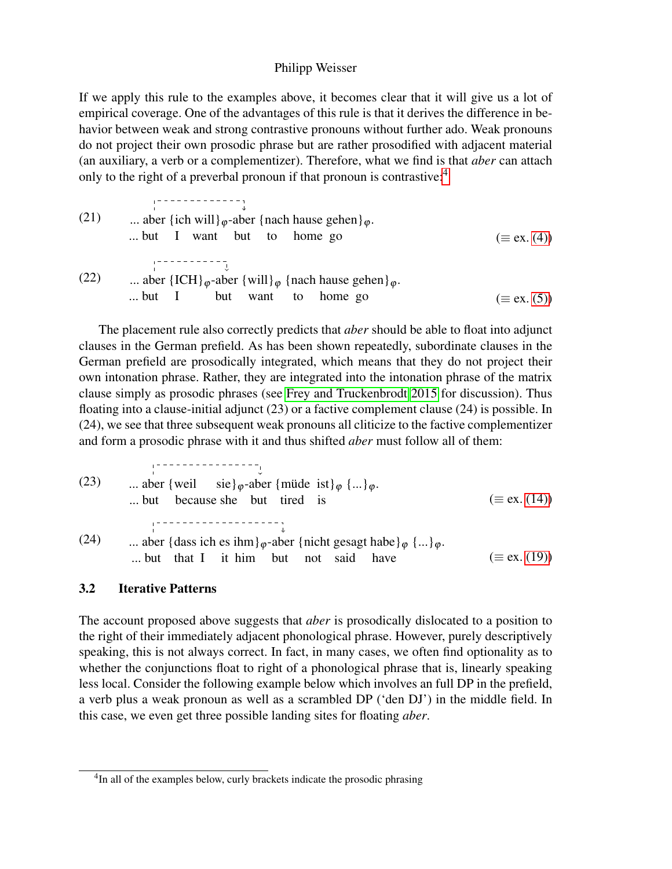If we apply this rule to the examples above, it becomes clear that it will give us a lot of empirical coverage. One of the advantages of this rule is that it derives the difference in behavior between weak and strong contrastive pronouns without further ado. Weak pronouns do not project their own prosodic phrase but are rather prosodified with adjacent material (an auxiliary, a verb or a complementizer). Therefore, what we find is that *aber* can attach only to the right of a preverbal pronoun if that pronoun is contrastive:<sup>[4](#page-7-0)</sup>

(21) ... aber {ich will } 
$$
\varphi
$$
-aber {nach hause gehen }  $\varphi$ .  
\n... but I want but to home go  
\n(22) ... aber {ICH}  $\varphi$ -aber {will}  $\varphi$  {nach hause gehen }  $\varphi$ .  
\n(22) ... aber {ICH}  $\varphi$ -aber {will}  $\varphi$  {nach hause gehen }  $\varphi$ .  
\n... but I but want to home go ( $\equiv$  ex. (5))

The placement rule also correctly predicts that *aber* should be able to float into adjunct clauses in the German prefield. As has been shown repeatedly, subordinate clauses in the German prefield are prosodically integrated, which means that they do not project their own intonation phrase. Rather, they are integrated into the intonation phrase of the matrix clause simply as prosodic phrases (see [Frey and Truckenbrodt 2015](#page-13-9) for discussion). Thus floating into a clause-initial adjunct (23) or a factive complement clause (24) is possible. In (24), we see that three subsequent weak pronouns all cliticize to the factive complementizer and form a prosodic phrase with it and thus shifted *aber* must follow all of them:

(23) ... aber {weil 
$$
\text{sie}}_{\varphi}
$$
-aber {müde ist} $_{\varphi}$  {...} $_{\varphi}$ ... but because she but tired is  $( \equiv \text{ex. } (14) )$  ... aber {dass ich es ihm} $_{\varphi}$ -aber {nicht gesagt habe} $_{\varphi}$  {...} $_{\varphi}$ ... but that I it him but not said have  $( \equiv \text{ex. } (19) )$ 

## 3.2 Iterative Patterns

The account proposed above suggests that *aber* is prosodically dislocated to a position to the right of their immediately adjacent phonological phrase. However, purely descriptively speaking, this is not always correct. In fact, in many cases, we often find optionality as to whether the conjunctions float to right of a phonological phrase that is, linearly speaking less local. Consider the following example below which involves an full DP in the prefield, a verb plus a weak pronoun as well as a scrambled DP ('den DJ') in the middle field. In this case, we even get three possible landing sites for floating *aber*.

<span id="page-7-0"></span><sup>&</sup>lt;sup>4</sup>In all of the examples below, curly brackets indicate the prosodic phrasing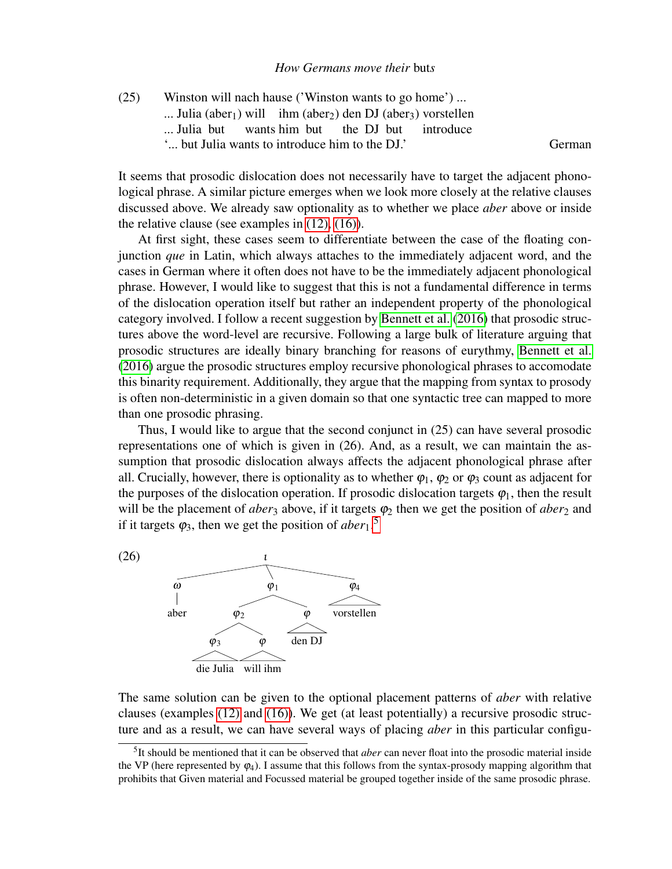(25) Winston will nach hause ('Winston wants to go home') ... ... Julia (aber<sub>1</sub>) will ihm (aber<sub>2</sub>) den DJ (aber<sub>3</sub>) vorstellen ... Julia but wants him but the DJ but introduce '... but Julia wants to introduce him to the DJ.' German

It seems that prosodic dislocation does not necessarily have to target the adjacent phonological phrase. A similar picture emerges when we look more closely at the relative clauses discussed above. We already saw optionality as to whether we place *aber* above or inside the relative clause (see examples in [\(12\),](#page-3-0) [\(16\)\)](#page-4-1).

At first sight, these cases seem to differentiate between the case of the floating conjunction *que* in Latin, which always attaches to the immediately adjacent word, and the cases in German where it often does not have to be the immediately adjacent phonological phrase. However, I would like to suggest that this is not a fundamental difference in terms of the dislocation operation itself but rather an independent property of the phonological category involved. I follow a recent suggestion by [Bennett et al.](#page-12-1) [\(2016\)](#page-12-1) that prosodic structures above the word-level are recursive. Following a large bulk of literature arguing that prosodic structures are ideally binary branching for reasons of eurythmy, [Bennett et al.](#page-12-1) [\(2016\)](#page-12-1) argue the prosodic structures employ recursive phonological phrases to accomodate this binarity requirement. Additionally, they argue that the mapping from syntax to prosody is often non-deterministic in a given domain so that one syntactic tree can mapped to more than one prosodic phrasing.

Thus, I would like to argue that the second conjunct in (25) can have several prosodic representations one of which is given in (26). And, as a result, we can maintain the assumption that prosodic dislocation always affects the adjacent phonological phrase after all. Crucially, however, there is optionality as to whether  $\varphi_1$ ,  $\varphi_2$  or  $\varphi_3$  count as adjacent for the purposes of the dislocation operation. If prosodic dislocation targets  $\varphi_1$ , then the result will be the placement of  $aber_3$  above, if it targets  $\varphi_2$  then we get the position of  $aber_2$  and if it targets  $\varphi_3$ , then we get the position of  $aber_1$ .<sup>[5](#page-8-0)</sup>



The same solution can be given to the optional placement patterns of *aber* with relative clauses (examples [\(12\)](#page-3-0) and [\(16\)\)](#page-4-1). We get (at least potentially) a recursive prosodic structure and as a result, we can have several ways of placing *aber* in this particular configu-

<span id="page-8-0"></span><sup>5</sup> It should be mentioned that it can be observed that *aber* can never float into the prosodic material inside the VP (here represented by  $\varphi_4$ ). I assume that this follows from the syntax-prosody mapping algorithm that prohibits that Given material and Focussed material be grouped together inside of the same prosodic phrase.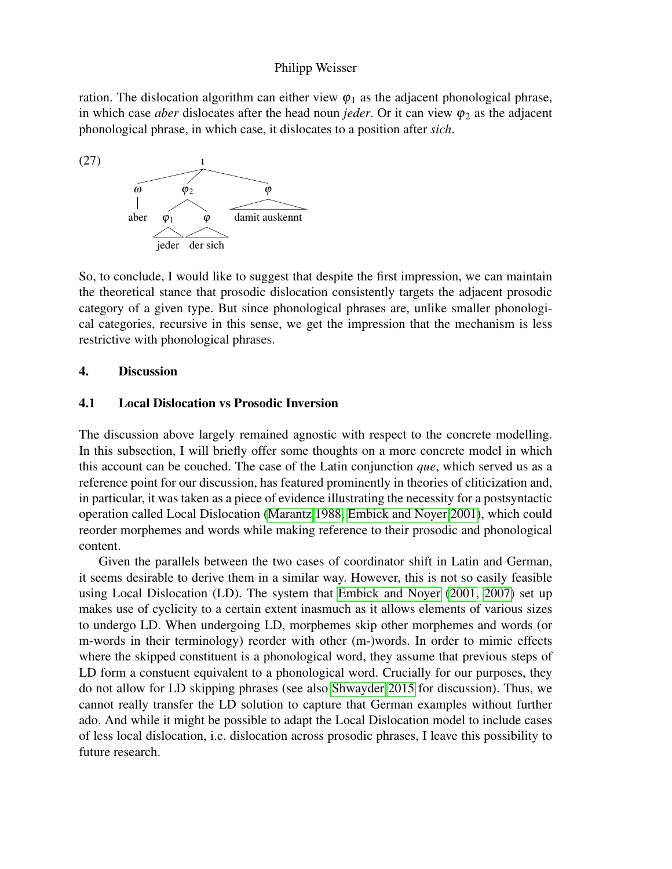ration. The dislocation algorithm can either view  $\varphi_1$  as the adjacent phonological phrase, in which case *aber* dislocates after the head noun *jeder*. Or it can view  $\varphi_2$  as the adjacent phonological phrase, in which case, it dislocates to a position after *sich*.



So, to conclude, I would like to suggest that despite the first impression, we can maintain the theoretical stance that prosodic dislocation consistently targets the adjacent prosodic category of a given type. But since phonological phrases are, unlike smaller phonological categories, recursive in this sense, we get the impression that the mechanism is less restrictive with phonological phrases.

#### 4. Discussion

#### 4.1 Local Dislocation vs Prosodic Inversion

The discussion above largely remained agnostic with respect to the concrete modelling. In this subsection, I will briefly offer some thoughts on a more concrete model in which this account can be couched. The case of the Latin conjunction *que*, which served us as a reference point for our discussion, has featured prominently in theories of cliticization and, in particular, it was taken as a piece of evidence illustrating the necessity for a postsyntactic operation called Local Dislocation [\(Marantz 1988,](#page-13-4) [Embick and Noyer 2001\)](#page-13-2), which could reorder morphemes and words while making reference to their prosodic and phonological content.

Given the parallels between the two cases of coordinator shift in Latin and German, it seems desirable to derive them in a similar way. However, this is not so easily feasible using Local Dislocation (LD). The system that [Embick and Noyer](#page-13-2) [\(2001,](#page-13-2) [2007\)](#page-13-10) set up makes use of cyclicity to a certain extent inasmuch as it allows elements of various sizes to undergo LD. When undergoing LD, morphemes skip other morphemes and words (or m-words in their terminology) reorder with other (m-)words. In order to mimic effects where the skipped constituent is a phonological word, they assume that previous steps of LD form a constuent equivalent to a phonological word. Crucially for our purposes, they do not allow for LD skipping phrases (see also [Shwayder 2015](#page-13-11) for discussion). Thus, we cannot really transfer the LD solution to capture that German examples without further ado. And while it might be possible to adapt the Local Dislocation model to include cases of less local dislocation, i.e. dislocation across prosodic phrases, I leave this possibility to future research.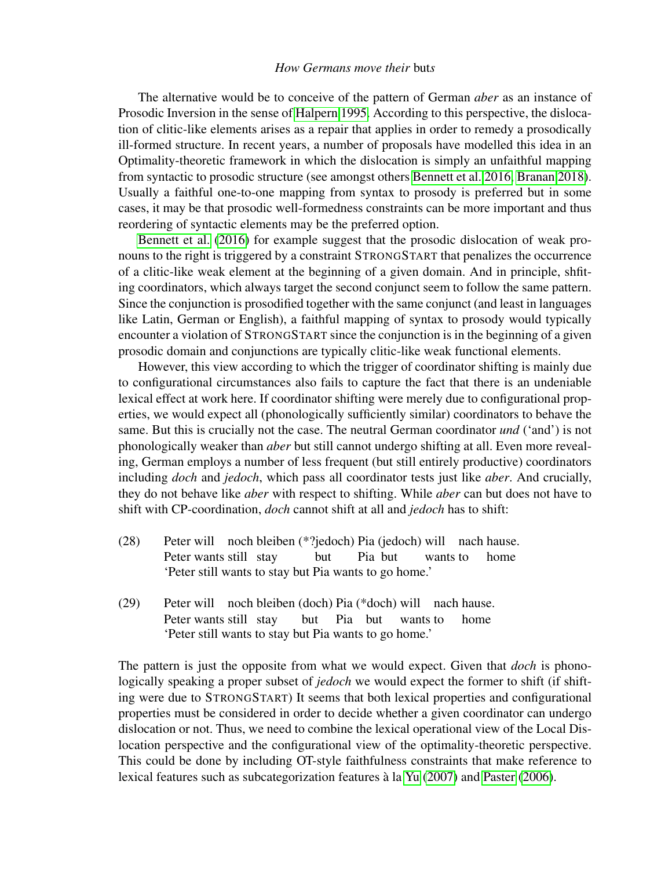The alternative would be to conceive of the pattern of German *aber* as an instance of Prosodic Inversion in the sense of [Halpern 1995.](#page-13-1) According to this perspective, the dislocation of clitic-like elements arises as a repair that applies in order to remedy a prosodically ill-formed structure. In recent years, a number of proposals have modelled this idea in an Optimality-theoretic framework in which the dislocation is simply an unfaithful mapping from syntactic to prosodic structure (see amongst others [Bennett et al. 2016,](#page-12-1) [Branan 2018\)](#page-12-4). Usually a faithful one-to-one mapping from syntax to prosody is preferred but in some cases, it may be that prosodic well-formedness constraints can be more important and thus reordering of syntactic elements may be the preferred option.

[Bennett et al.](#page-12-1) [\(2016\)](#page-12-1) for example suggest that the prosodic dislocation of weak pronouns to the right is triggered by a constraint STRONGSTART that penalizes the occurrence of a clitic-like weak element at the beginning of a given domain. And in principle, shfiting coordinators, which always target the second conjunct seem to follow the same pattern. Since the conjunction is prosodified together with the same conjunct (and least in languages like Latin, German or English), a faithful mapping of syntax to prosody would typically encounter a violation of STRONGSTART since the conjunction is in the beginning of a given prosodic domain and conjunctions are typically clitic-like weak functional elements.

However, this view according to which the trigger of coordinator shifting is mainly due to configurational circumstances also fails to capture the fact that there is an undeniable lexical effect at work here. If coordinator shifting were merely due to configurational properties, we would expect all (phonologically sufficiently similar) coordinators to behave the same. But this is crucially not the case. The neutral German coordinator *und* ('and') is not phonologically weaker than *aber* but still cannot undergo shifting at all. Even more revealing, German employs a number of less frequent (but still entirely productive) coordinators including *doch* and *jedoch*, which pass all coordinator tests just like *aber*. And crucially, they do not behave like *aber* with respect to shifting. While *aber* can but does not have to shift with CP-coordination, *doch* cannot shift at all and *jedoch* has to shift:

- (28) Peter will noch bleiben (\*?jedoch) Pia (jedoch) will nach hause. Peter wants still stay but Pia but wants to home 'Peter still wants to stay but Pia wants to go home.'
- (29) Peter will noch bleiben (doch) Pia (\*doch) will nach hause. Peter wants still stay but Pia but wants to home 'Peter still wants to stay but Pia wants to go home.'

The pattern is just the opposite from what we would expect. Given that *doch* is phonologically speaking a proper subset of *jedoch* we would expect the former to shift (if shifting were due to STRONGSTART) It seems that both lexical properties and configurational properties must be considered in order to decide whether a given coordinator can undergo dislocation or not. Thus, we need to combine the lexical operational view of the Local Dislocation perspective and the configurational view of the optimality-theoretic perspective. This could be done by including OT-style faithfulness constraints that make reference to lexical features such as subcategorization features à la [Yu](#page-13-12) [\(2007\)](#page-13-12) and [Paster](#page-13-13) [\(2006\)](#page-13-13).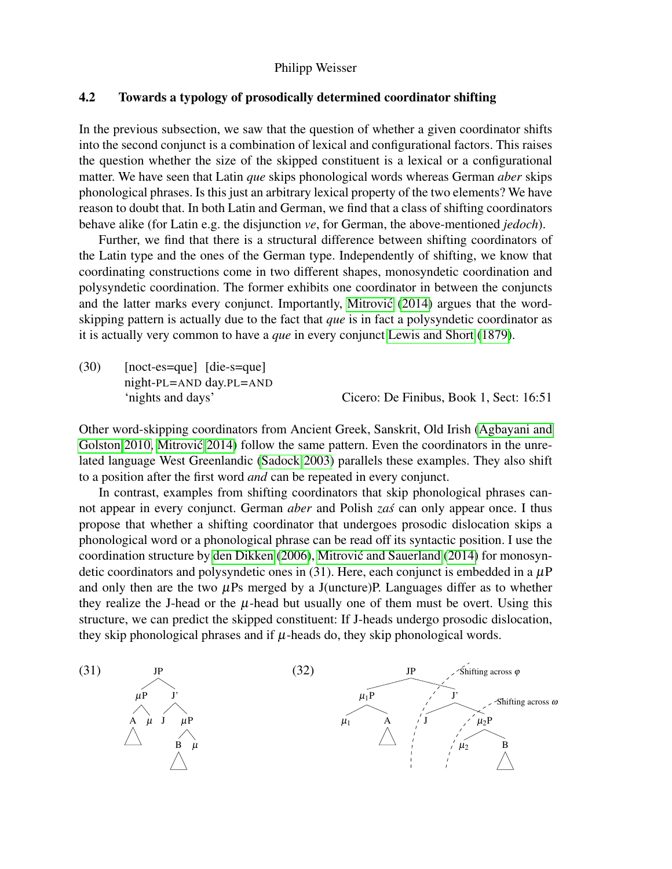## 4.2 Towards a typology of prosodically determined coordinator shifting

In the previous subsection, we saw that the question of whether a given coordinator shifts into the second conjunct is a combination of lexical and configurational factors. This raises the question whether the size of the skipped constituent is a lexical or a configurational matter. We have seen that Latin *que* skips phonological words whereas German *aber* skips phonological phrases. Is this just an arbitrary lexical property of the two elements? We have reason to doubt that. In both Latin and German, we find that a class of shifting coordinators behave alike (for Latin e.g. the disjunction *ve*, for German, the above-mentioned *jedoch*).

Further, we find that there is a structural difference between shifting coordinators of the Latin type and the ones of the German type. Independently of shifting, we know that coordinating constructions come in two different shapes, monosyndetic coordination and polysyndetic coordination. The former exhibits one coordinator in between the conjuncts and the latter marks every conjunct. Importantly, Mitrović [\(2014\)](#page-13-5) argues that the wordskipping pattern is actually due to the fact that *que* is in fact a polysyndetic coordinator as it is actually very common to have a *que* in every conjunct [Lewis and Short](#page-13-14) [\(1879\)](#page-13-14).

(30) [noct-es=que] [die-s=que] night-PL=AND day.PL=AND

'nights and days' Cicero: De Finibus, Book 1, Sect: 16:51

Other word-skipping coordinators from Ancient Greek, Sanskrit, Old Irish [\(Agbayani and](#page-12-2) [Golston 2010,](#page-12-2) [Mitrovic 2014\)](#page-13-5) follow the same pattern. Even the coordinators in the unrelated language West Greenlandic [\(Sadock 2003\)](#page-13-15) parallels these examples. They also shift to a position after the first word *and* can be repeated in every conjunct.

In contrast, examples from shifting coordinators that skip phonological phrases cannot appear in every conjunct. German *aber* and Polish *zas´* can only appear once. I thus propose that whether a shifting coordinator that undergoes prosodic dislocation skips a phonological word or a phonological phrase can be read off its syntactic position. I use the coordination structure by [den Dikken](#page-13-16) [\(2006\)](#page-13-16), [Mitrovic and Sauerland](#page-13-17) [\(2014\)](#page-13-17) for monosyn- ´ detic coordinators and polysyndetic ones in  $(31)$ . Here, each conjunct is embedded in a  $\mu$ P and only then are the two  $\mu$ Ps merged by a J(uncture)P. Languages differ as to whether they realize the J-head or the  $\mu$ -head but usually one of them must be overt. Using this structure, we can predict the skipped constituent: If J-heads undergo prosodic dislocation, they skip phonological phrases and if  $\mu$ -heads do, they skip phonological words.

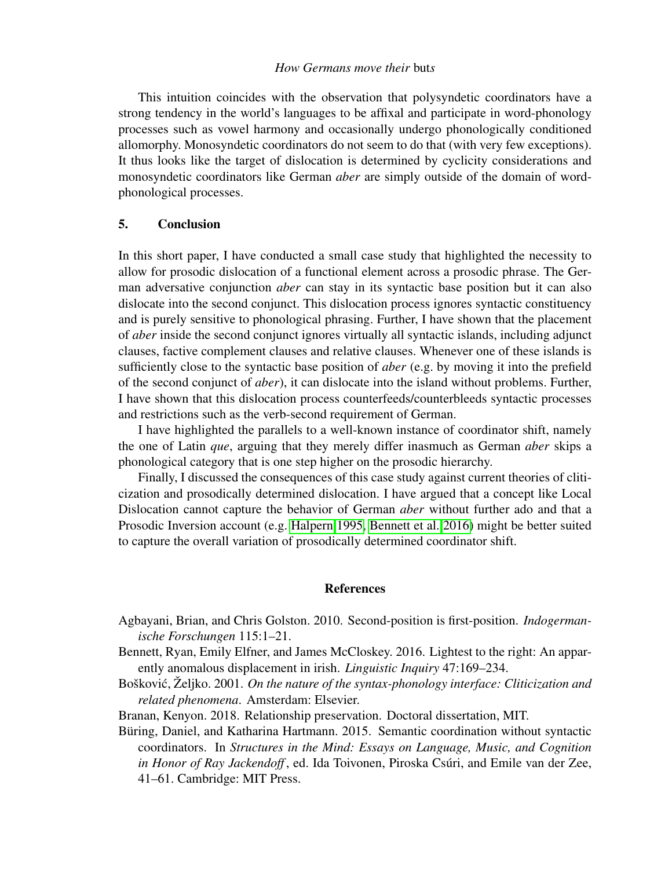This intuition coincides with the observation that polysyndetic coordinators have a strong tendency in the world's languages to be affixal and participate in word-phonology processes such as vowel harmony and occasionally undergo phonologically conditioned allomorphy. Monosyndetic coordinators do not seem to do that (with very few exceptions). It thus looks like the target of dislocation is determined by cyclicity considerations and monosyndetic coordinators like German *aber* are simply outside of the domain of wordphonological processes.

## 5. Conclusion

In this short paper, I have conducted a small case study that highlighted the necessity to allow for prosodic dislocation of a functional element across a prosodic phrase. The German adversative conjunction *aber* can stay in its syntactic base position but it can also dislocate into the second conjunct. This dislocation process ignores syntactic constituency and is purely sensitive to phonological phrasing. Further, I have shown that the placement of *aber* inside the second conjunct ignores virtually all syntactic islands, including adjunct clauses, factive complement clauses and relative clauses. Whenever one of these islands is sufficiently close to the syntactic base position of *aber* (e.g. by moving it into the prefield of the second conjunct of *aber*), it can dislocate into the island without problems. Further, I have shown that this dislocation process counterfeeds/counterbleeds syntactic processes and restrictions such as the verb-second requirement of German.

I have highlighted the parallels to a well-known instance of coordinator shift, namely the one of Latin *que*, arguing that they merely differ inasmuch as German *aber* skips a phonological category that is one step higher on the prosodic hierarchy.

Finally, I discussed the consequences of this case study against current theories of cliticization and prosodically determined dislocation. I have argued that a concept like Local Dislocation cannot capture the behavior of German *aber* without further ado and that a Prosodic Inversion account (e.g. [Halpern 1995,](#page-13-1) [Bennett et al. 2016\)](#page-12-1) might be better suited to capture the overall variation of prosodically determined coordinator shift.

#### References

- <span id="page-12-2"></span>Agbayani, Brian, and Chris Golston. 2010. Second-position is first-position. *Indogermanische Forschungen* 115:1–21.
- <span id="page-12-1"></span>Bennett, Ryan, Emily Elfner, and James McCloskey. 2016. Lightest to the right: An apparently anomalous displacement in irish. *Linguistic Inquiry* 47:169–234.
- <span id="page-12-0"></span>Bošković, Željko. 2001. On the nature of the syntax-phonology interface: Cliticization and *related phenomena*. Amsterdam: Elsevier.
- <span id="page-12-4"></span>Branan, Kenyon. 2018. Relationship preservation. Doctoral dissertation, MIT.
- <span id="page-12-3"></span>Büring, Daniel, and Katharina Hartmann. 2015. Semantic coordination without syntactic coordinators. In *Structures in the Mind: Essays on Language, Music, and Cognition in Honor of Ray Jackendoff* , ed. Ida Toivonen, Piroska Csúri, and Emile van der Zee, 41–61. Cambridge: MIT Press.